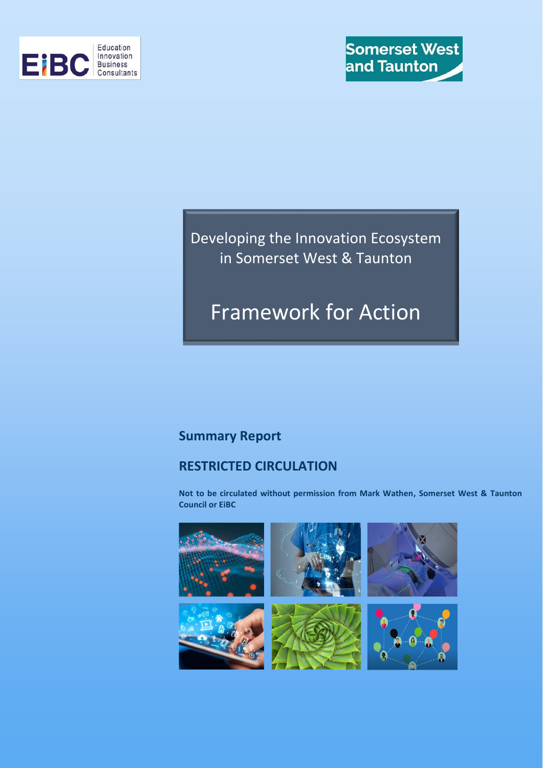

Developing the Innovation Ecosystem in Somerset West & Taunton

# Framework for Action

### **Summary Report**

### **RESTRICTED CIRCULATION**

**Not to be circulated without permission from Mark Wathen, Somerset West & Taunton Council or EiBC** 

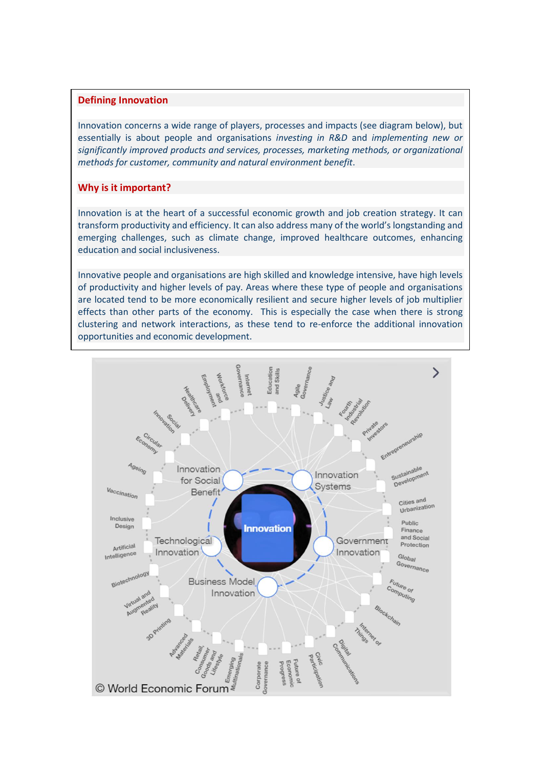#### **Defining Innovation**

Innovation concerns a wide range of players, processes and impacts (see diagram below), but essentially is about people and organisations *investing in R&D* and *implementing new or significantly improved products and services, processes, marketing methods, or organizational methods for customer, community and natural environment benefit*.

#### **Why is it important?**

Innovation is at the heart of a successful economic growth and job creation strategy. It can transform productivity and efficiency. It can also address many of the world's longstanding and emerging challenges, such as climate change, improved healthcare outcomes, enhancing education and social inclusiveness.

Innovative people and organisations are high skilled and knowledge intensive, have high levels of productivity and higher levels of pay. Areas where these type of people and organisations are located tend to be more economically resilient and secure higher levels of job multiplier effects than other parts of the economy. This is especially the case when there is strong clustering and network interactions, as these tend to re-enforce the additional innovation opportunities and economic development.

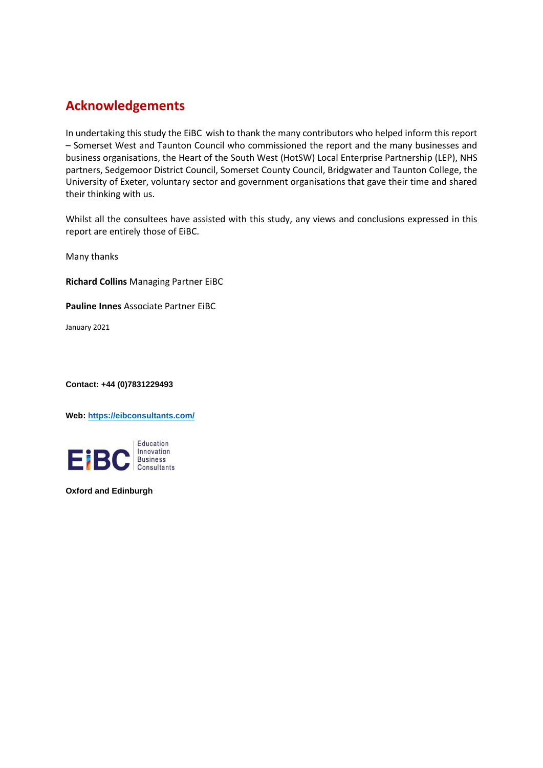## **Acknowledgements**

In undertaking this study the EiBC wish to thank the many contributors who helped inform this report – Somerset West and Taunton Council who commissioned the report and the many businesses and business organisations, the Heart of the South West (HotSW) Local Enterprise Partnership (LEP), NHS partners, Sedgemoor District Council, Somerset County Council, Bridgwater and Taunton College, the University of Exeter, voluntary sector and government organisations that gave their time and shared their thinking with us.

Whilst all the consultees have assisted with this study, any views and conclusions expressed in this report are entirely those of EiBC.

Many thanks

**Richard Collins** Managing Partner EiBC

**Pauline Innes** Associate Partner EiBC

January 2021

**Contact: +44 (0)7831229493**

**Web[: https://eibconsultants.com/](https://eibconsultants.com/)**



**Oxford and Edinburgh**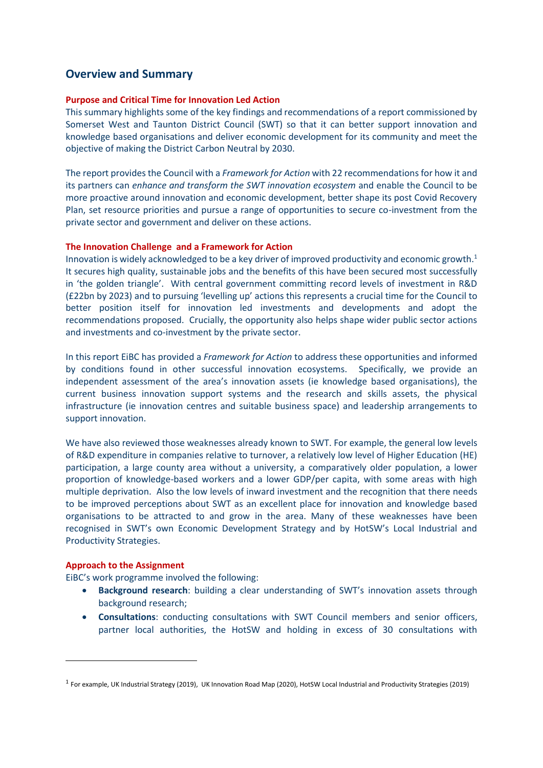### **Overview and Summary**

#### **Purpose and Critical Time for Innovation Led Action**

This summary highlights some of the key findings and recommendations of a report commissioned by Somerset West and Taunton District Council (SWT) so that it can better support innovation and knowledge based organisations and deliver economic development for its community and meet the objective of making the District Carbon Neutral by 2030.

The report provides the Council with a *Framework for Action* with 22 recommendations for how it and its partners can *enhance and transform the SWT innovation ecosystem* and enable the Council to be more proactive around innovation and economic development, better shape its post Covid Recovery Plan, set resource priorities and pursue a range of opportunities to secure co-investment from the private sector and government and deliver on these actions.

#### **The Innovation Challenge and a Framework for Action**

Innovation is widely acknowledged to be a key driver of improved productivity and economic growth. 1 It secures high quality, sustainable jobs and the benefits of this have been secured most successfully in 'the golden triangle'. With central government committing record levels of investment in R&D (£22bn by 2023) and to pursuing 'levelling up' actions this represents a crucial time for the Council to better position itself for innovation led investments and developments and adopt the recommendations proposed. Crucially, the opportunity also helps shape wider public sector actions and investments and co-investment by the private sector.

In this report EiBC has provided a *Framework for Action* to address these opportunities and informed by conditions found in other successful innovation ecosystems. Specifically, we provide an independent assessment of the area's innovation assets (ie knowledge based organisations), the current business innovation support systems and the research and skills assets, the physical infrastructure (ie innovation centres and suitable business space) and leadership arrangements to support innovation.

We have also reviewed those weaknesses already known to SWT. For example, the general low levels of R&D expenditure in companies relative to turnover, a relatively low level of Higher Education (HE) participation, a large county area without a university, a comparatively older population, a lower proportion of knowledge-based workers and a lower GDP/per capita, with some areas with high multiple deprivation. Also the low levels of inward investment and the recognition that there needs to be improved perceptions about SWT as an excellent place for innovation and knowledge based organisations to be attracted to and grow in the area. Many of these weaknesses have been recognised in SWT's own Economic Development Strategy and by HotSW's Local Industrial and Productivity Strategies.

#### **Approach to the Assignment**

EiBC's work programme involved the following:

- **Background research**: building a clear understanding of SWT's innovation assets through background research;
- **Consultations**: conducting consultations with SWT Council members and senior officers, partner local authorities, the HotSW and holding in excess of 30 consultations with

<sup>&</sup>lt;sup>1</sup> For example, UK Industrial Strategy (2019), UK Innovation Road Map (2020), HotSW Local Industrial and Productivity Strategies (2019)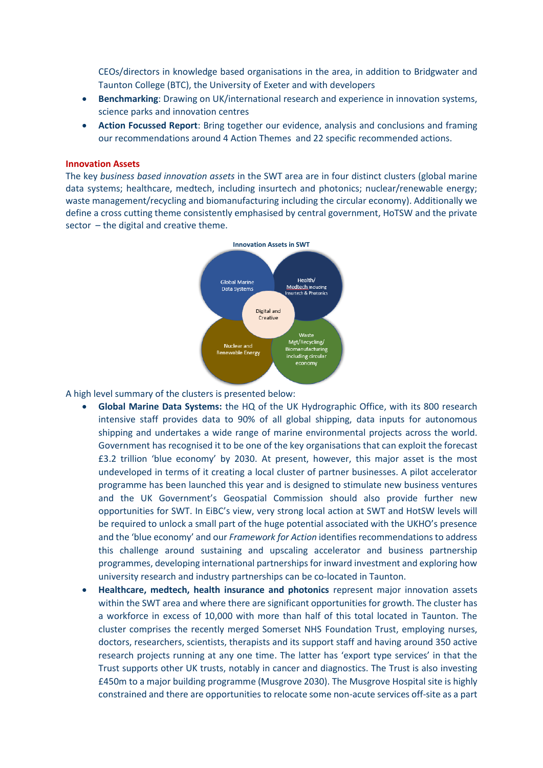CEOs/directors in knowledge based organisations in the area, in addition to Bridgwater and Taunton College (BTC), the University of Exeter and with developers

- **Benchmarking**: Drawing on UK/international research and experience in innovation systems, science parks and innovation centres
- **Action Focussed Report**: Bring together our evidence, analysis and conclusions and framing our recommendations around 4 Action Themes and 22 specific recommended actions.

#### **Innovation Assets**

The key *business based innovation assets* in the SWT area are in four distinct clusters (global marine data systems; healthcare, medtech, including insurtech and photonics; nuclear/renewable energy; waste management/recycling and biomanufacturing including the circular economy). Additionally we define a cross cutting theme consistently emphasised by central government, HoTSW and the private sector – the digital and creative theme.



A high level summary of the clusters is presented below:

- **Global Marine Data Systems:** the HQ of the UK Hydrographic Office, with its 800 research intensive staff provides data to 90% of all global shipping, data inputs for autonomous shipping and undertakes a wide range of marine environmental projects across the world. Government has recognised it to be one of the key organisations that can exploit the forecast £3.2 trillion 'blue economy' by 2030. At present, however, this major asset is the most undeveloped in terms of it creating a local cluster of partner businesses. A pilot accelerator programme has been launched this year and is designed to stimulate new business ventures and the UK Government's Geospatial Commission should also provide further new opportunities for SWT. In EiBC's view, very strong local action at SWT and HotSW levels will be required to unlock a small part of the huge potential associated with the UKHO's presence and the 'blue economy' and our *Framework for Action* identifies recommendations to address this challenge around sustaining and upscaling accelerator and business partnership programmes, developing international partnerships for inward investment and exploring how university research and industry partnerships can be co-located in Taunton.
- **Healthcare, medtech, health insurance and photonics** represent major innovation assets within the SWT area and where there are significant opportunities for growth. The cluster has a workforce in excess of 10,000 with more than half of this total located in Taunton. The cluster comprises the recently merged Somerset NHS Foundation Trust, employing nurses, doctors, researchers, scientists, therapists and its support staff and having around 350 active research projects running at any one time. The latter has 'export type services' in that the Trust supports other UK trusts, notably in cancer and diagnostics. The Trust is also investing £450m to a major building programme (Musgrove 2030). The Musgrove Hospital site is highly constrained and there are opportunities to relocate some non-acute services off-site as a part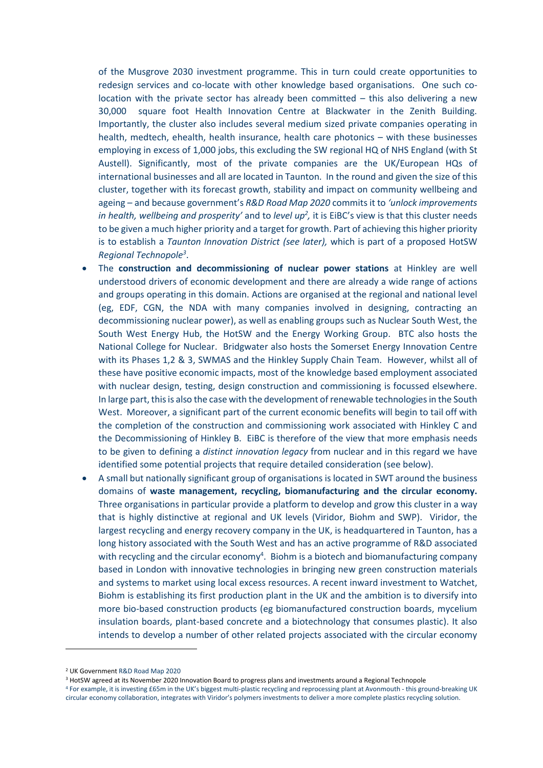of the Musgrove 2030 investment programme. This in turn could create opportunities to redesign services and co-locate with other knowledge based organisations. One such colocation with the private sector has already been committed – this also delivering a new 30,000 square foot Health Innovation Centre at Blackwater in the Zenith Building. Importantly, the cluster also includes several medium sized private companies operating in health, medtech, ehealth, health insurance, health care photonics – with these businesses employing in excess of 1,000 jobs, this excluding the SW regional HQ of NHS England (with St Austell). Significantly, most of the private companies are the UK/European HQs of international businesses and all are located in Taunton. In the round and given the size of this cluster, together with its forecast growth, stability and impact on community wellbeing and ageing – and because government's *R&D Road Map 2020* commits it to *'unlock improvements*  in health, wellbeing and prosperity' and to level up<sup>2</sup>, it is EiBC's view is that this cluster needs to be given a much higher priority and a target for growth. Part of achieving this higher priority is to establish a *Taunton Innovation District (see later),* which is part of a proposed HotSW *Regional Technopole<sup>3</sup>* .

- The **construction and decommissioning of nuclear power stations** at Hinkley are well understood drivers of economic development and there are already a wide range of actions and groups operating in this domain. Actions are organised at the regional and national level (eg, EDF, CGN, the NDA with many companies involved in designing, contracting an decommissioning nuclear power), as well as enabling groups such as Nuclear South West, the South West Energy Hub, the HotSW and the Energy Working Group. BTC also hosts the National College for Nuclear. Bridgwater also hosts the Somerset Energy Innovation Centre with its Phases 1,2 & 3, SWMAS and the Hinkley Supply Chain Team. However, whilst all of these have positive economic impacts, most of the knowledge based employment associated with nuclear design, testing, design construction and commissioning is focussed elsewhere. In large part, this is also the case with the development of renewable technologies in the South West. Moreover, a significant part of the current economic benefits will begin to tail off with the completion of the construction and commissioning work associated with Hinkley C and the Decommissioning of Hinkley B. EiBC is therefore of the view that more emphasis needs to be given to defining a *distinct innovation legacy* from nuclear and in this regard we have identified some potential projects that require detailed consideration (see below).
- A small but nationally significant group of organisations is located in SWT around the business domains of **waste management, recycling, biomanufacturing and the circular economy.**  Three organisations in particular provide a platform to develop and grow this cluster in a way that is highly distinctive at regional and UK levels (Viridor, Biohm and SWP). Viridor, the largest recycling and energy recovery company in the UK, is headquartered in Taunton, has a long history associated with the South West and has an active programme of R&D associated with recycling and the circular economy<sup>4</sup>. Biohm is a biotech and biomanufacturing company based in London with innovative technologies in bringing new green construction materials and systems to market using local excess resources. A recent inward investment to Watchet, Biohm is establishing its first production plant in the UK and the ambition is to diversify into more bio-based construction products (eg biomanufactured construction boards, mycelium insulation boards, plant-based concrete and a biotechnology that consumes plastic). It also intends to develop a number of other related projects associated with the circular economy

<sup>4</sup> For example, it is investing £65m in the UK's biggest multi-plastic recycling and reprocessing plant at Avonmouth - this ground-breaking UK circular economy collaboration, integrates with Viridor's polymers investments to deliver a more complete plastics recycling solution.

<sup>2</sup> UK Government R&D Road Map 2020

<sup>3</sup> HotSW agreed at its November 2020 Innovation Board to progress plans and investments around a Regional Technopole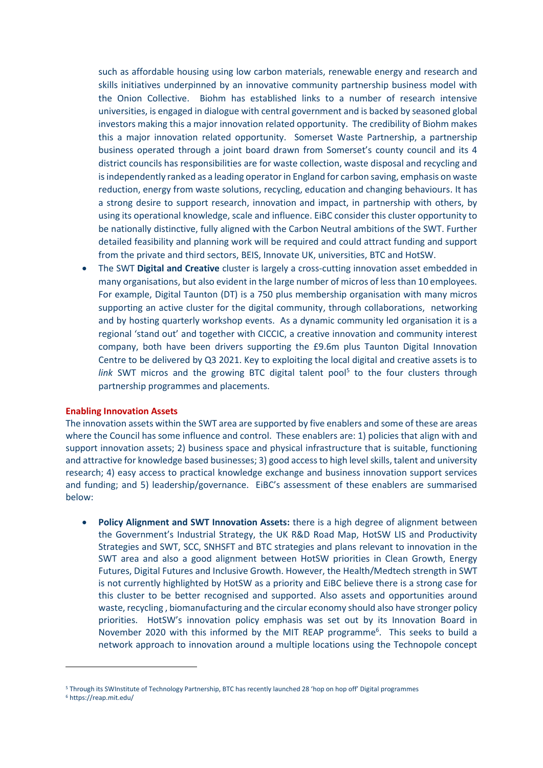such as affordable housing using low carbon materials, renewable energy and research and skills initiatives underpinned by an innovative community partnership business model with the Onion Collective. Biohm has established links to a number of research intensive universities, is engaged in dialogue with central government and is backed by seasoned global investors making this a major innovation related opportunity. The credibility of Biohm makes this a major innovation related opportunity. Somerset Waste Partnership, a partnership business operated through a joint board drawn from Somerset's county council and its 4 district councils has responsibilities are for waste collection, waste disposal and recycling and is independently ranked as a leading operator in England for carbon saving, emphasis on waste reduction, energy from waste solutions, recycling, education and changing behaviours. It has a strong desire to support research, innovation and impact, in partnership with others, by using its operational knowledge, scale and influence. EiBC consider this cluster opportunity to be nationally distinctive, fully aligned with the Carbon Neutral ambitions of the SWT. Further detailed feasibility and planning work will be required and could attract funding and support from the private and third sectors, BEIS, Innovate UK, universities, BTC and HotSW.

• The SWT **Digital and Creative** cluster is largely a cross-cutting innovation asset embedded in many organisations, but also evident in the large number of micros of less than 10 employees. For example, Digital Taunton (DT) is a 750 plus membership organisation with many micros supporting an active cluster for the digital community, through collaborations, networking and by hosting quarterly workshop events. As a dynamic community led organisation it is a regional 'stand out' and together with CICCIC, a creative innovation and community interest company, both have been drivers supporting the £9.6m plus Taunton Digital Innovation Centre to be delivered by Q3 2021. Key to exploiting the local digital and creative assets is to link SWT micros and the growing BTC digital talent pool<sup>5</sup> to the four clusters through partnership programmes and placements.

#### **Enabling Innovation Assets**

The innovation assets within the SWT area are supported by five enablers and some of these are areas where the Council has some influence and control. These enablers are: 1) policies that align with and support innovation assets; 2) business space and physical infrastructure that is suitable, functioning and attractive for knowledge based businesses; 3) good access to high level skills, talent and university research; 4) easy access to practical knowledge exchange and business innovation support services and funding; and 5) leadership/governance. EiBC's assessment of these enablers are summarised below:

• **Policy Alignment and SWT Innovation Assets:** there is a high degree of alignment between the Government's Industrial Strategy, the UK R&D Road Map, HotSW LIS and Productivity Strategies and SWT, SCC, SNHSFT and BTC strategies and plans relevant to innovation in the SWT area and also a good alignment between HotSW priorities in Clean Growth, Energy Futures, Digital Futures and Inclusive Growth. However, the Health/Medtech strength in SWT is not currently highlighted by HotSW as a priority and EiBC believe there is a strong case for this cluster to be better recognised and supported. Also assets and opportunities around waste, recycling , biomanufacturing and the circular economy should also have stronger policy priorities. HotSW's innovation policy emphasis was set out by its Innovation Board in November 2020 with this informed by the MIT REAP programme<sup>6</sup>. This seeks to build a network approach to innovation around a multiple locations using the Technopole concept

<sup>5</sup> Through its SWInstitute of Technology Partnership, BTC has recently launched 28 'hop on hop off' Digital programmes

<sup>6</sup> https://reap.mit.edu/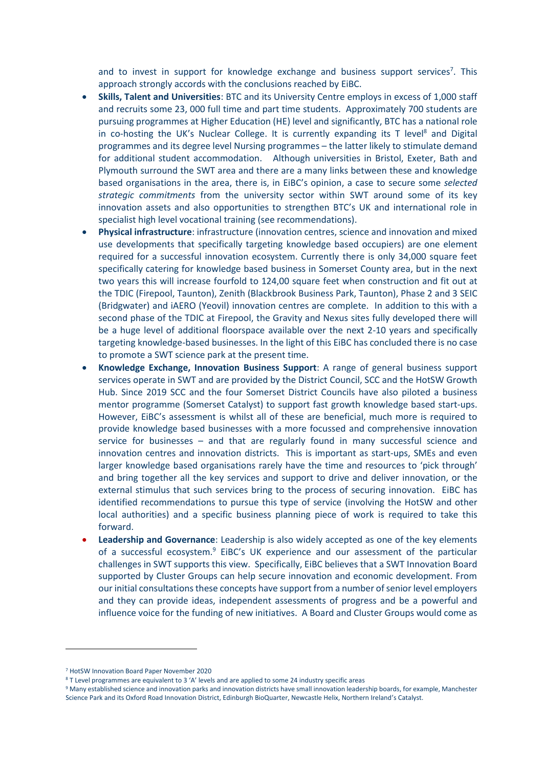and to invest in support for knowledge exchange and business support services<sup>7</sup>. This approach strongly accords with the conclusions reached by EiBC.

- **Skills, Talent and Universities**: BTC and its University Centre employs in excess of 1,000 staff and recruits some 23, 000 full time and part time students. Approximately 700 students are pursuing programmes at Higher Education (HE) level and significantly, BTC has a national role in co-hosting the UK's Nuclear College. It is currently expanding its T level<sup>8</sup> and Digital programmes and its degree level Nursing programmes – the latter likely to stimulate demand for additional student accommodation. Although universities in Bristol, Exeter, Bath and Plymouth surround the SWT area and there are a many links between these and knowledge based organisations in the area, there is, in EiBC's opinion, a case to secure some *selected strategic commitments* from the university sector within SWT around some of its key innovation assets and also opportunities to strengthen BTC's UK and international role in specialist high level vocational training (see recommendations).
- **Physical infrastructure**: infrastructure (innovation centres, science and innovation and mixed use developments that specifically targeting knowledge based occupiers) are one element required for a successful innovation ecosystem. Currently there is only 34,000 square feet specifically catering for knowledge based business in Somerset County area, but in the next two years this will increase fourfold to 124,00 square feet when construction and fit out at the TDIC (Firepool, Taunton), Zenith (Blackbrook Business Park, Taunton), Phase 2 and 3 SEIC (Bridgwater) and iAERO (Yeovil) innovation centres are complete. In addition to this with a second phase of the TDIC at Firepool, the Gravity and Nexus sites fully developed there will be a huge level of additional floorspace available over the next 2-10 years and specifically targeting knowledge-based businesses. In the light of this EiBC has concluded there is no case to promote a SWT science park at the present time.
- **Knowledge Exchange, Innovation Business Support**: A range of general business support services operate in SWT and are provided by the District Council, SCC and the HotSW Growth Hub. Since 2019 SCC and the four Somerset District Councils have also piloted a business mentor programme (Somerset Catalyst) to support fast growth knowledge based start-ups. However, EiBC's assessment is whilst all of these are beneficial, much more is required to provide knowledge based businesses with a more focussed and comprehensive innovation service for businesses – and that are regularly found in many successful science and innovation centres and innovation districts. This is important as start-ups, SMEs and even larger knowledge based organisations rarely have the time and resources to 'pick through' and bring together all the key services and support to drive and deliver innovation, or the external stimulus that such services bring to the process of securing innovation. EiBC has identified recommendations to pursue this type of service (involving the HotSW and other local authorities) and a specific business planning piece of work is required to take this forward.
- **Leadership and Governance**: Leadership is also widely accepted as one of the key elements of a successful ecosystem.<sup>9</sup> EiBC's UK experience and our assessment of the particular challenges in SWT supports this view. Specifically, EiBC believes that a SWT Innovation Board supported by Cluster Groups can help secure innovation and economic development. From our initial consultations these concepts have support from a number of senior level employers and they can provide ideas, independent assessments of progress and be a powerful and influence voice for the funding of new initiatives. A Board and Cluster Groups would come as

<sup>7</sup> HotSW Innovation Board Paper November 2020

<sup>8</sup> T Level programmes are equivalent to 3 'A' levels and are applied to some 24 industry specific areas

<sup>9</sup> Many established science and innovation parks and innovation districts have small innovation leadership boards, for example, Manchester Science Park and its Oxford Road Innovation District, Edinburgh BioQuarter, Newcastle Helix, Northern Ireland's Catalyst.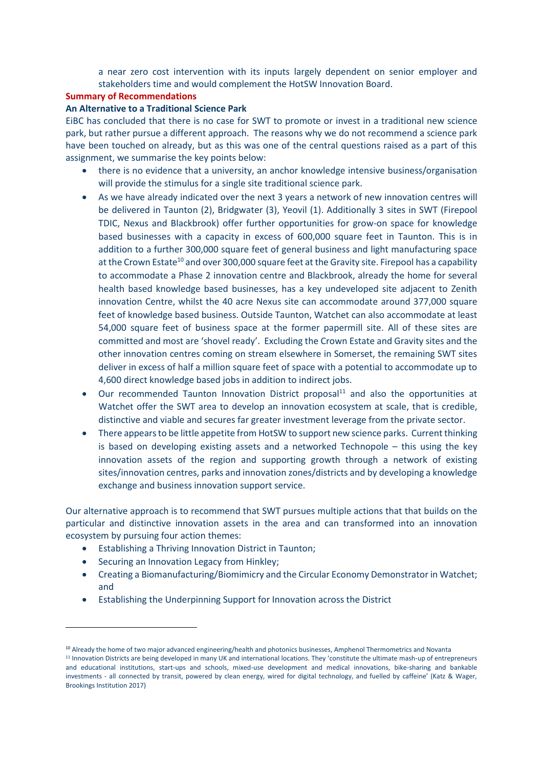a near zero cost intervention with its inputs largely dependent on senior employer and stakeholders time and would complement the HotSW Innovation Board.

#### **Summary of Recommendations**

#### **An Alternative to a Traditional Science Park**

EiBC has concluded that there is no case for SWT to promote or invest in a traditional new science park, but rather pursue a different approach. The reasons why we do not recommend a science park have been touched on already, but as this was one of the central questions raised as a part of this assignment, we summarise the key points below:

- there is no evidence that a university, an anchor knowledge intensive business/organisation will provide the stimulus for a single site traditional science park.
- As we have already indicated over the next 3 years a network of new innovation centres will be delivered in Taunton (2), Bridgwater (3), Yeovil (1). Additionally 3 sites in SWT (Firepool TDIC, Nexus and Blackbrook) offer further opportunities for grow-on space for knowledge based businesses with a capacity in excess of 600,000 square feet in Taunton. This is in addition to a further 300,000 square feet of general business and light manufacturing space at the Crown Estate<sup>10</sup> and over 300,000 square feet at the Gravity site. Firepool has a capability to accommodate a Phase 2 innovation centre and Blackbrook, already the home for several health based knowledge based businesses, has a key undeveloped site adjacent to Zenith innovation Centre, whilst the 40 acre Nexus site can accommodate around 377,000 square feet of knowledge based business. Outside Taunton, Watchet can also accommodate at least 54,000 square feet of business space at the former papermill site. All of these sites are committed and most are 'shovel ready'. Excluding the Crown Estate and Gravity sites and the other innovation centres coming on stream elsewhere in Somerset, the remaining SWT sites deliver in excess of half a million square feet of space with a potential to accommodate up to 4,600 direct knowledge based jobs in addition to indirect jobs.
- Our recommended Taunton Innovation District proposal<sup>11</sup> and also the opportunities at Watchet offer the SWT area to develop an innovation ecosystem at scale, that is credible, distinctive and viable and secures far greater investment leverage from the private sector.
- There appears to be little appetite from HotSW to support new science parks. Current thinking is based on developing existing assets and a networked Technopole – this using the key innovation assets of the region and supporting growth through a network of existing sites/innovation centres, parks and innovation zones/districts and by developing a knowledge exchange and business innovation support service.

Our alternative approach is to recommend that SWT pursues multiple actions that that builds on the particular and distinctive innovation assets in the area and can transformed into an innovation ecosystem by pursuing four action themes:

- Establishing a Thriving Innovation District in Taunton;
- Securing an Innovation Legacy from Hinkley;
- Creating a Biomanufacturing/Biomimicry and the Circular Economy Demonstrator in Watchet; and
- Establishing the Underpinning Support for Innovation across the District

<sup>&</sup>lt;sup>10</sup> Already the home of two major advanced engineering/health and photonics businesses, Amphenol Thermometrics and Novanta <sup>11</sup> Innovation Districts are being developed in many UK and international locations. They 'constitute the ultimate mash-up of entrepreneurs and educational institutions, start-ups and schools, mixed-use development and medical innovations, bike-sharing and bankable investments - all connected by transit, powered by clean energy, wired for digital technology, and fuelled by caffeine' (Katz & Wager, Brookings Institution 2017)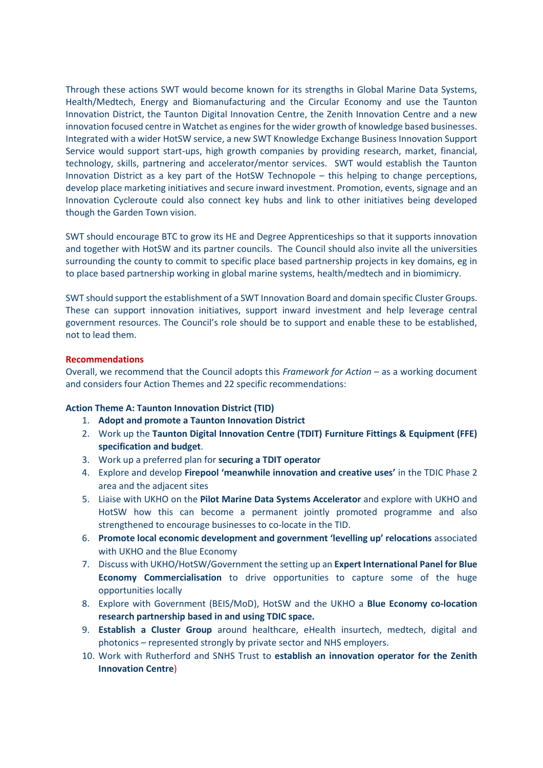Through these actions SWT would become known for its strengths in Global Marine Data Systems, Health/Medtech, Energy and Biomanufacturing and the Circular Economy and use the Taunton Innovation District, the Taunton Digital Innovation Centre, the Zenith Innovation Centre and a new innovation focused centre in Watchet as engines for the wider growth of knowledge based businesses. Integrated with a wider HotSW service, a new SWT Knowledge Exchange Business Innovation Support Service would support start-ups, high growth companies by providing research, market, financial, technology, skills, partnering and accelerator/mentor services. SWT would establish the Taunton Innovation District as a key part of the HotSW Technopole – this helping to change perceptions, develop place marketing initiatives and secure inward investment. Promotion, events, signage and an Innovation Cycleroute could also connect key hubs and link to other initiatives being developed though the Garden Town vision.

SWT should encourage BTC to grow its HE and Degree Apprenticeships so that it supports innovation and together with HotSW and its partner councils. The Council should also invite all the universities surrounding the county to commit to specific place based partnership projects in key domains, eg in to place based partnership working in global marine systems, health/medtech and in biomimicry.

SWT should support the establishment of a SWT Innovation Board and domain specific Cluster Groups. These can support innovation initiatives, support inward investment and help leverage central government resources. The Council's role should be to support and enable these to be established, not to lead them.

#### **Recommendations**

Overall, we recommend that the Council adopts this *Framework for Action* – as a working document and considers four Action Themes and 22 specific recommendations:

#### **Action Theme A: Taunton Innovation District (TID)**

- 1. **Adopt and promote a Taunton Innovation District**
- 2. Work up the **Taunton Digital Innovation Centre (TDIT) Furniture Fittings & Equipment (FFE) specification and budget**.
- 3. Work up a preferred plan for **securing a TDIT operator**
- 4. Explore and develop **Firepool 'meanwhile innovation and creative uses'** in the TDIC Phase 2 area and the adjacent sites
- 5. Liaise with UKHO on the **Pilot Marine Data Systems Accelerator** and explore with UKHO and HotSW how this can become a permanent jointly promoted programme and also strengthened to encourage businesses to co-locate in the TID.
- 6. **Promote local economic development and government 'levelling up' relocations** associated with UKHO and the Blue Economy
- 7. Discuss with UKHO/HotSW/Government the setting up an **Expert International Panel for Blue Economy Commercialisation** to drive opportunities to capture some of the huge opportunities locally
- 8. Explore with Government (BEIS/MoD), HotSW and the UKHO a **Blue Economy co-location research partnership based in and using TDIC space.**
- 9. **Establish a Cluster Group** around healthcare, eHealth insurtech, medtech, digital and photonics – represented strongly by private sector and NHS employers.
- 10. Work with Rutherford and SNHS Trust to **establish an innovation operator for the Zenith Innovation Centre**)